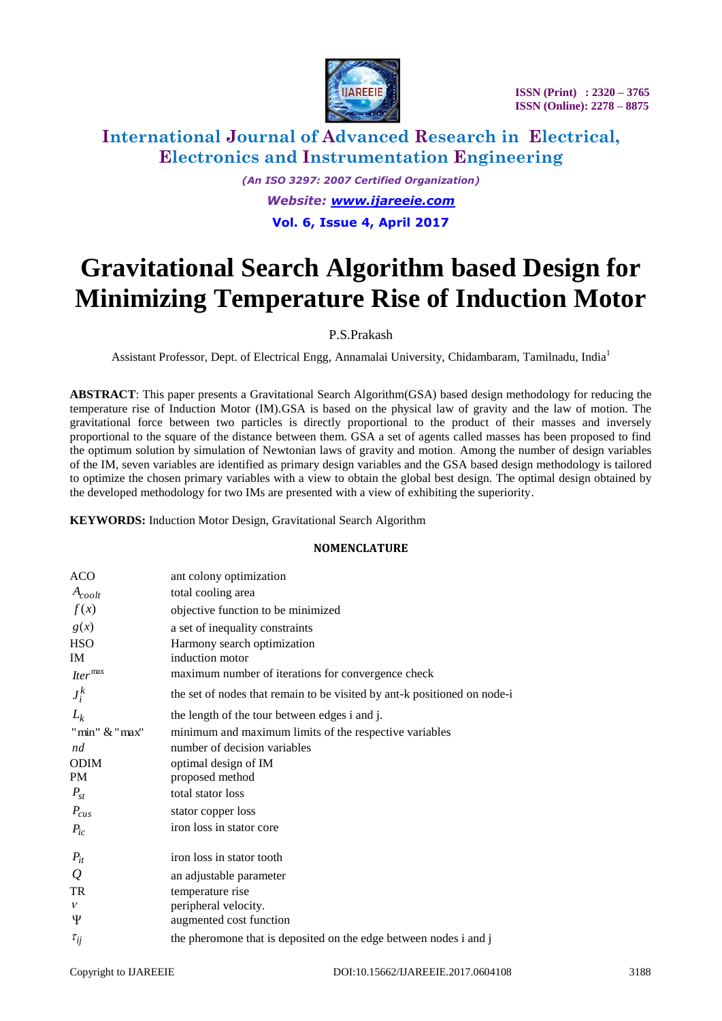

# **International Journal of Advanced Research in Electrical, Electronics and Instrumentation Engineering**

*(An ISO 3297: 2007 Certified Organization)*

*Website: [www.ijareeie.com](http://www.ijareeie.com/)* **Vol. 6, Issue 4, April 2017**

# **Gravitational Search Algorithm based Design for Minimizing Temperature Rise of Induction Motor**

### P.S.Prakash

Assistant Professor, Dept. of Electrical Engg, Annamalai University, Chidambaram, Tamilnadu, India<sup>1</sup>

**ABSTRACT**: This paper presents a Gravitational Search Algorithm(GSA) based design methodology for reducing the temperature rise of Induction Motor (IM).GSA is based on the physical law of gravity and the law of motion. The gravitational force between two particles is directly proportional to the product of their masses and inversely proportional to the square of the distance between them. GSA a set of agents called masses has been proposed to find the optimum solution by simulation of Newtonian laws of gravity and motion. Among the number of design variables of the IM, seven variables are identified as primary design variables and the GSA based design methodology is tailored to optimize the chosen primary variables with a view to obtain the global best design. The optimal design obtained by the developed methodology for two IMs are presented with a view of exhibiting the superiority.

**KEYWORDS:** Induction Motor Design, Gravitational Search Algorithm

#### **NOMENCLATURE**

| <b>ACO</b>                         | ant colony optimization                                                  |
|------------------------------------|--------------------------------------------------------------------------|
| $A_{\text{coolt}}$                 | total cooling area                                                       |
| f(x)                               | objective function to be minimized                                       |
| g(x)                               | a set of inequality constraints                                          |
| <b>HSO</b>                         | Harmony search optimization                                              |
| IM                                 | induction motor                                                          |
| $Iter$ <sup><math>max</math></sup> | maximum number of iterations for convergence check                       |
| $J_i^k$                            | the set of nodes that remain to be visited by ant-k positioned on node-i |
| $L_k$                              | the length of the tour between edges i and j.                            |
| " $min$ " $\&$ " $max$ "           | minimum and maximum limits of the respective variables                   |
| nd                                 | number of decision variables                                             |
| <b>ODIM</b>                        | optimal design of IM                                                     |
| <b>PM</b>                          | proposed method                                                          |
| $P_{st}$                           | total stator loss                                                        |
| $P_{\text{cus}}$                   | stator copper loss                                                       |
| $P_{ic}$                           | iron loss in stator core                                                 |
| $P_{it}$                           | iron loss in stator tooth                                                |
| $\mathcal{Q}$                      | an adjustable parameter                                                  |
| TR                                 | temperature rise                                                         |
| $\mathcal V$                       | peripheral velocity.                                                     |
| Ψ                                  | augmented cost function                                                  |
| $\tau_{ij}$                        | the pheromone that is deposited on the edge between nodes i and j        |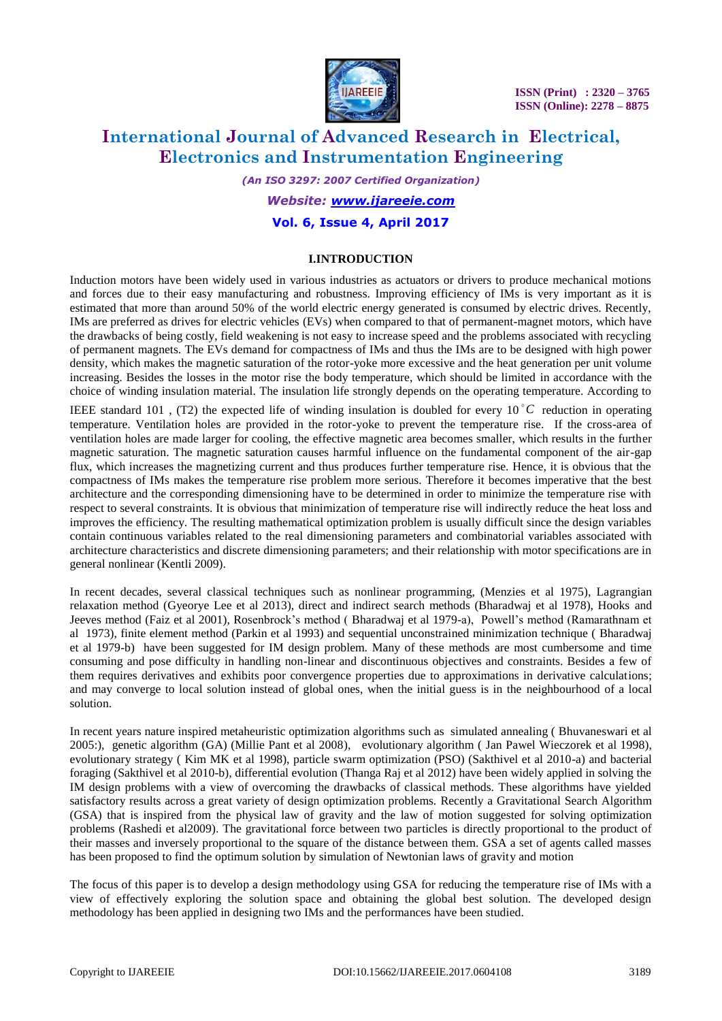

# **International Journal of Advanced Research in Electrical, Electronics and Instrumentation Engineering**

*(An ISO 3297: 2007 Certified Organization)*

*Website: [www.ijareeie.com](http://www.ijareeie.com/)*

#### **Vol. 6, Issue 4, April 2017**

#### **I.INTRODUCTION**

Induction motors have been widely used in various industries as actuators or drivers to produce mechanical motions and forces due to their easy manufacturing and robustness. Improving efficiency of IMs is very important as it is estimated that more than around 50% of the world electric energy generated is consumed by electric drives. Recently, IMs are preferred as drives for electric vehicles (EVs) when compared to that of permanent-magnet motors, which have the drawbacks of being costly, field weakening is not easy to increase speed and the problems associated with recycling of permanent magnets. The EVs demand for compactness of IMs and thus the IMs are to be designed with high power density, which makes the magnetic saturation of the rotor-yoke more excessive and the heat generation per unit volume increasing. Besides the losses in the motor rise the body temperature, which should be limited in accordance with the choice of winding insulation material. The insulation life strongly depends on the operating temperature. According to IEEE standard 101, (T2) the expected life of winding insulation is doubled for every  $10\degree C$  reduction in operating temperature. Ventilation holes are provided in the rotor-yoke to prevent the temperature rise. If the cross-area of ventilation holes are made larger for cooling, the effective magnetic area becomes smaller, which results in the further magnetic saturation. The magnetic saturation causes harmful influence on the fundamental component of the air-gap flux, which increases the magnetizing current and thus produces further temperature rise. Hence, it is obvious that the compactness of IMs makes the temperature rise problem more serious. Therefore it becomes imperative that the best architecture and the corresponding dimensioning have to be determined in order to minimize the temperature rise with respect to several constraints. It is obvious that minimization of temperature rise will indirectly reduce the heat loss and improves the efficiency. The resulting mathematical optimization problem is usually difficult since the design variables contain continuous variables related to the real dimensioning parameters and combinatorial variables associated with architecture characteristics and discrete dimensioning parameters; and their relationship with motor specifications are in

general nonlinear (Kentli 2009).

In recent decades, several classical techniques such as nonlinear programming, (Menzies et al 1975), Lagrangian relaxation method (Gyeorye Lee et al 2013), direct and indirect search methods (Bharadwaj et al 1978), Hooks and Jeeves method (Faiz et al 2001), Rosenbrock's method ( Bharadwaj et al 1979-a), Powell's method (Ramarathnam et al 1973), finite element method (Parkin et al 1993) and sequential unconstrained minimization technique ( Bharadwaj et al 1979-b) have been suggested for IM design problem. Many of these methods are most cumbersome and time consuming and pose difficulty in handling non-linear and discontinuous objectives and constraints. Besides a few of them requires derivatives and exhibits poor convergence properties due to approximations in derivative calculations; and may converge to local solution instead of global ones, when the initial guess is in the neighbourhood of a local solution.

In recent years nature inspired metaheuristic optimization algorithms such as simulated annealing ( Bhuvaneswari et al 2005:), genetic algorithm (GA) (Millie Pant et al 2008), evolutionary algorithm ( Jan Pawel Wieczorek et al 1998), evolutionary strategy ( Kim MK et al 1998), particle swarm optimization (PSO) (Sakthivel et al 2010-a) and bacterial foraging (Sakthivel et al 2010-b), differential evolution (Thanga Raj et al 2012) have been widely applied in solving the IM design problems with a view of overcoming the drawbacks of classical methods. These algorithms have yielded satisfactory results across a great variety of design optimization problems. Recently a Gravitational Search Algorithm (GSA) that is inspired from the physical law of gravity and the law of motion suggested for solving optimization problems (Rashedi et al2009). The gravitational force between two particles is directly proportional to the product of their masses and inversely proportional to the square of the distance between them. GSA a set of agents called masses has been proposed to find the optimum solution by simulation of Newtonian laws of gravity and motion

The focus of this paper is to develop a design methodology using GSA for reducing the temperature rise of IMs with a view of effectively exploring the solution space and obtaining the global best solution. The developed design methodology has been applied in designing two IMs and the performances have been studied.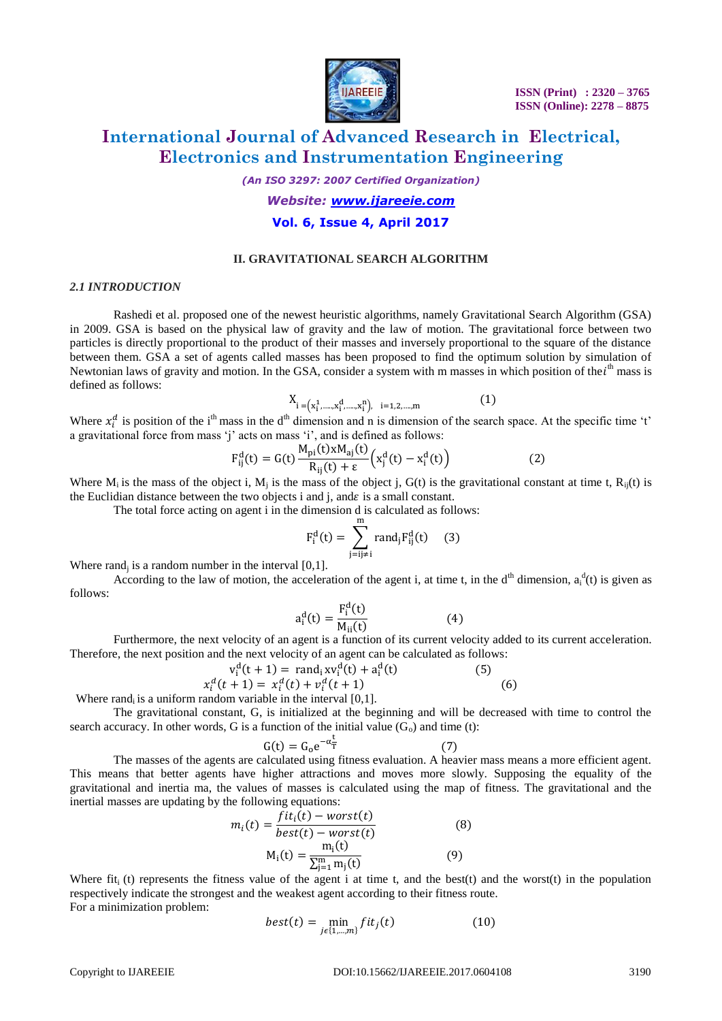

### **International Journal of Advanced Research in Electrical, Electronics and Instrumentation Engineering**

*(An ISO 3297: 2007 Certified Organization)*

### *Website: [www.ijareeie.com](http://www.ijareeie.com/)* **Vol. 6, Issue 4, April 2017**

#### **II. GRAVITATIONAL SEARCH ALGORITHM**

#### *2.1 INTRODUCTION*

Rashedi et al. proposed one of the newest heuristic algorithms, namely Gravitational Search Algorithm (GSA) in 2009. GSA is based on the physical law of gravity and the law of motion. The gravitational force between two particles is directly proportional to the product of their masses and inversely proportional to the square of the distance between them. GSA a set of agents called masses has been proposed to find the optimum solution by simulation of Newtonian laws of gravity and motion. In the GSA, consider a system with m masses in which position of the  $i<sup>th</sup>$  mass is defined as follows:

$$
X_{i} = (x_{i}^{1}, \dots, x_{i}^{d}, \dots, x_{i}^{n}), \quad i = 1, 2, \dots, m
$$
 (1)

Where  $x_i^d$  is position of the i<sup>th</sup> mass in the d<sup>th</sup> dimension and n is dimension of the search space. At the specific time 't' a gravitational force from mass 'j' acts on mass 'i', and is defined as follows:

$$
F_{ij}^{d}(t) = G(t) \frac{M_{pi}(t)xM_{aj}(t)}{R_{ij}(t) + \varepsilon} (x_{j}^{d}(t) - x_{i}^{d}(t))
$$
 (2)

Where  $M_i$  is the mass of the object i,  $M_j$  is the mass of the object j,  $G(t)$  is the gravitational constant at time t,  $R_{ij}(t)$  is the Euclidian distance between the two objects i and j, and  $\varepsilon$  is a small constant.

The total force acting on agent i in the dimension d is calculated as follows:

$$
F_i^d(t) = \sum_{j=j\neq i}^m \text{rand}_j F_{ij}^d(t) \quad (3)
$$

Where rand<sub>i</sub> is a random number in the interval  $[0,1]$ .

According to the law of motion, the acceleration of the agent i, at time t, in the  $d<sup>th</sup>$  dimension,  $a<sub>i</sub><sup>d</sup>(t)$  is given as follows:

$$
a_i^d(t) = \frac{F_i^d(t)}{M_{ii}(t)}
$$
 (4)

Furthermore, the next velocity of an agent is a function of its current velocity added to its current acceleration. Therefore, the next position and the next velocity of an agent can be calculated as follows:

$$
v_i^d(t + 1) = rand_i x v_i^d(t) + a_i^d(t)
$$
(5)  

$$
x_i^d(t + 1) = x_i^d(t) + v_i^d(t + 1)
$$
(6)

Where rand<sub>i</sub> is a uniform random variable in the interval  $[0,1]$ .

The gravitational constant, G, is initialized at the beginning and will be decreased with time to control the search accuracy. In other words, G is a function of the initial value  $(G_0)$  and time (t):

$$
G(t) = G_0 e^{-\alpha \frac{t}{T}}
$$
 (7)

The masses of the agents are calculated using fitness evaluation. A heavier mass means a more efficient agent. This means that better agents have higher attractions and moves more slowly. Supposing the equality of the gravitational and inertia ma, the values of masses is calculated using the map of fitness. The gravitational and the inertial masses are updating by the following equations:

$$
m_i(t) = \frac{fit_i(t) - worst(t)}{best(t) - worst(t)}
$$
(8)  

$$
M_i(t) = \frac{m_i(t)}{\sum_{j=1}^{m_i} m_j(t)}
$$
(9)

Where  $fit_i$  (t) represents the fitness value of the agent i at time t, and the best(t) and the worst(t) in the population respectively indicate the strongest and the weakest agent according to their fitness route. For a minimization problem:

$$
best(t) = \min_{j \in \{1, \dots, m\}} fit_j(t)
$$
 (10)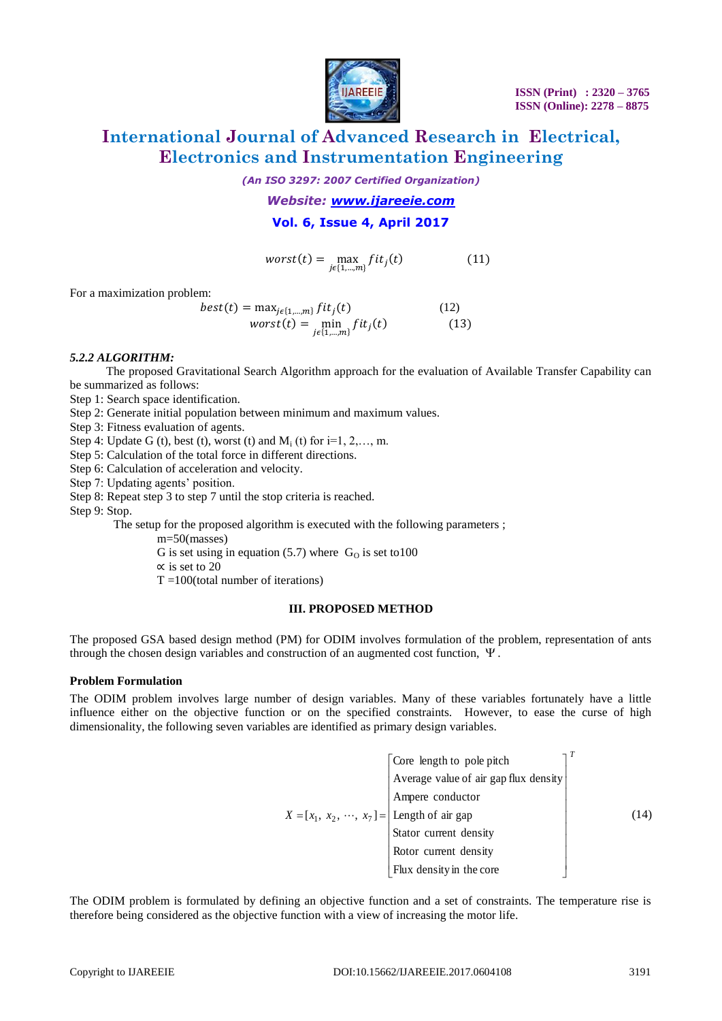

# **International Journal of Advanced Research in Electrical, Electronics and Instrumentation Engineering**

*(An ISO 3297: 2007 Certified Organization)*

*Website: [www.ijareeie.com](http://www.ijareeie.com/)*

#### **Vol. 6, Issue 4, April 2017**

$$
worst(t) = \max_{j \in \{1,\dots,m\}} fit_j(t) \tag{11}
$$

For a maximization problem:

$$
best(t) = \max_{j \in \{1, \dots, m\}} fit_j(t)
$$
(12)  
worst(t) = 
$$
\min_{j \in \{1, \dots, m\}} fit_j(t)
$$
(13)

#### *5.2.2 ALGORITHM:*

 The proposed Gravitational Search Algorithm approach for the evaluation of Available Transfer Capability can be summarized as follows:

Step 1: Search space identification.

Step 2: Generate initial population between minimum and maximum values.

Step 3: Fitness evaluation of agents.

Step 4: Update G (t), best (t), worst (t) and  $M_i$  (t) for i=1, 2,..., m.

Step 5: Calculation of the total force in different directions.

Step 6: Calculation of acceleration and velocity.

Step 7: Updating agents' position.

Step 8: Repeat step 3 to step 7 until the stop criteria is reached.

Step 9: Stop.

The setup for the proposed algorithm is executed with the following parameters ;

m=50(masses)

G is set using in equation (5.7) where  $G<sub>0</sub>$  is set to 100

 $\propto$  is set to 20

 $T = 100$ (total number of iterations)

#### **III. PROPOSED METHOD**

The proposed GSA based design method (PM) for ODIM involves formulation of the problem, representation of ants through the chosen design variables and construction of an augmented cost function,  $\Psi$ .

#### **Problem Formulation**

The ODIM problem involves large number of design variables. Many of these variables fortunately have a little influence either on the objective function or on the specified constraints. However, to ease the curse of high dimensionality, the following seven variables are identified as primary design variables.

|                                                           | Core length to pole pitch             |      |
|-----------------------------------------------------------|---------------------------------------|------|
|                                                           | Average value of air gap flux density |      |
|                                                           | Ampere conductor                      |      |
| $X = [x_1, x_2, \dots, x_7] =  \text{Length of air gap} $ |                                       | (14) |
|                                                           | Stator current density                |      |
|                                                           | Rotor current density                 |      |
|                                                           | Flux density in the core              |      |

The ODIM problem is formulated by defining an objective function and a set of constraints. The temperature rise is therefore being considered as the objective function with a view of increasing the motor life.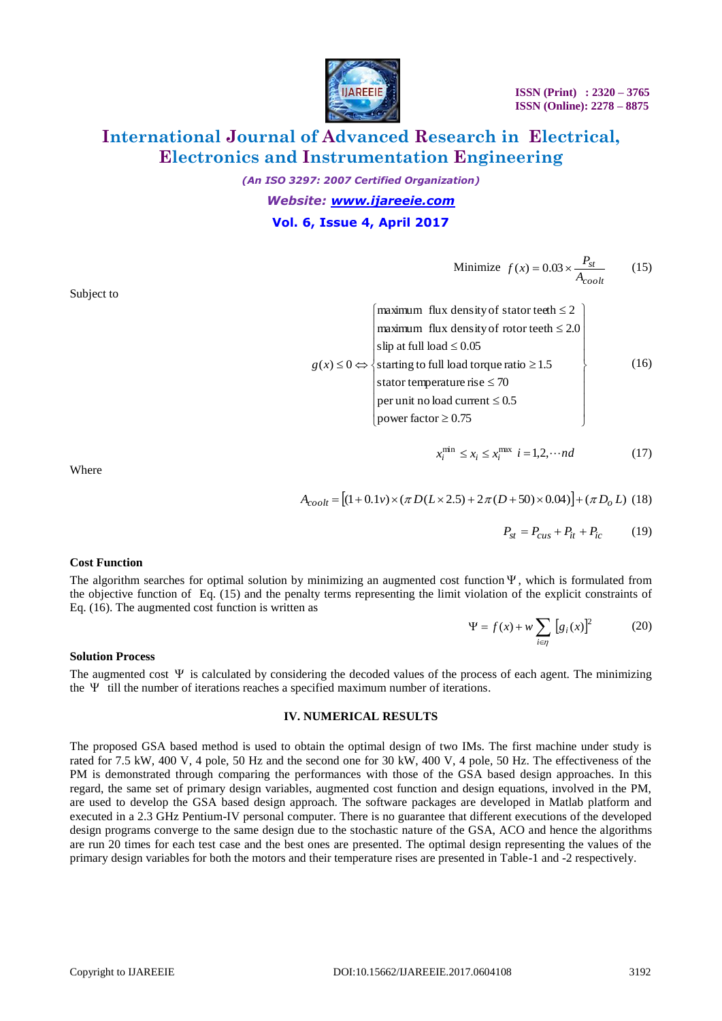

### **International Journal of Advanced Research in Electrical, Electronics and Instrumentation Engineering**

*(An ISO 3297: 2007 Certified Organization)*

### *Website: [www.ijareeie.com](http://www.ijareeie.com/)* **Vol. 6, Issue 4, April 2017**

Subject to

$$
\text{Minimize } f(x) = 0.03 \times \frac{P_{st}}{A_{coolt}} \tag{15}
$$

|  | maximum flux density of stator teeth $\leq 2$                                |      |
|--|------------------------------------------------------------------------------|------|
|  | maximum flux density of rotor teeth $\leq 2.0$                               |      |
|  | slip at full load $\leq 0.05$                                                |      |
|  | $g(x) \le 0 \Leftrightarrow \{$ starting to full load torque ratio $\ge 1.5$ | (16) |
|  | stator temperature rise $\leq 70$                                            |      |
|  | per unit no load current $\leq 0.5$                                          |      |
|  | power factor $\geq 0.75$                                                     |      |

$$
x_i^{\min} \le x_i \le x_i^{\max} \quad i = 1, 2, \cdots nd \tag{17}
$$

$$
A_{coolt} = [(1+0.1v) \times (\pi D(L \times 2.5) + 2\pi (D + 50) \times 0.04)] + (\pi D_o L)
$$
 (18)

$$
P_{st} = P_{cus} + P_{it} + P_{ic} \tag{19}
$$

#### **Cost Function**

Where

The algorithm searches for optimal solution by minimizing an augmented cost function  $\Psi$ , which is formulated from the objective function of Eq. (15) and the penalty terms representing the limit violation of the explicit constraints of Eq. (16). The augmented cost function is written as

$$
\Psi = f(x) + w \sum_{i \in \eta} \left[ g_i(x) \right]^2 \tag{20}
$$

#### **Solution Process**

The augmented cost  $\Psi$  is calculated by considering the decoded values of the process of each agent. The minimizing the  $\Psi$  till the number of iterations reaches a specified maximum number of iterations.

#### **IV. NUMERICAL RESULTS**

The proposed GSA based method is used to obtain the optimal design of two IMs. The first machine under study is rated for 7.5 kW, 400 V, 4 pole, 50 Hz and the second one for 30 kW, 400 V, 4 pole, 50 Hz. The effectiveness of the PM is demonstrated through comparing the performances with those of the GSA based design approaches. In this regard, the same set of primary design variables, augmented cost function and design equations, involved in the PM, are used to develop the GSA based design approach. The software packages are developed in Matlab platform and executed in a 2.3 GHz Pentium-IV personal computer. There is no guarantee that different executions of the developed design programs converge to the same design due to the stochastic nature of the GSA, ACO and hence the algorithms are run 20 times for each test case and the best ones are presented. The optimal design representing the values of the primary design variables for both the motors and their temperature rises are presented in Table-1 and -2 respectively.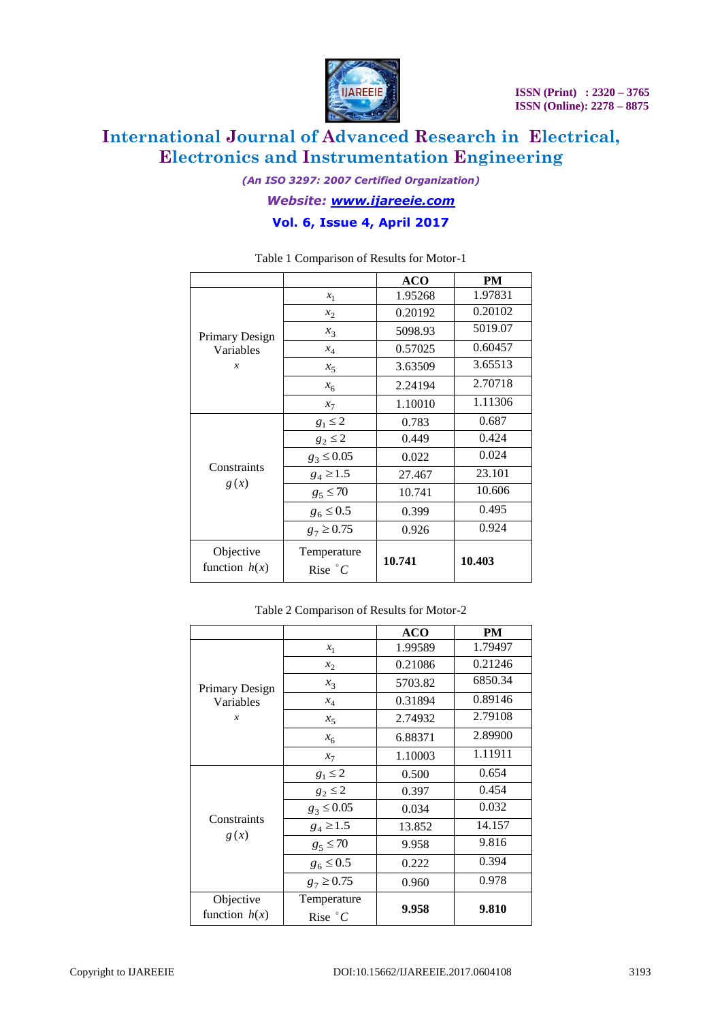

# **International Journal of Advanced Research in Electrical, Electronics and Instrumentation Engineering**

*(An ISO 3297: 2007 Certified Organization)*

#### *Website: [www.ijareeie.com](http://www.ijareeie.com/)*

### **Vol. 6, Issue 4, April 2017**

|                              |                                   | <b>ACO</b> | <b>PM</b> |
|------------------------------|-----------------------------------|------------|-----------|
|                              | $x_1$                             | 1.95268    | 1.97831   |
|                              | $x_2$                             | 0.20192    | 0.20102   |
| Primary Design               | $x_3$                             | 5098.93    | 5019.07   |
| Variables                    | $x_4$                             | 0.57025    | 0.60457   |
| $\boldsymbol{x}$             | $x_{5}$                           | 3.63509    | 3.65513   |
|                              | $x_6$                             | 2.24194    | 2.70718   |
|                              | $x_7$                             | 1.10010    | 1.11306   |
|                              | $g_1 \leq 2$                      | 0.783      | 0.687     |
|                              | $g_2 \leq 2$                      | 0.449      | 0.424     |
|                              | $g_3 \le 0.05$                    | 0.022      | 0.024     |
| Constraints<br>g(x)          | $g_4 \ge 1.5$                     | 27.467     | 23.101    |
|                              | $g_5 \le 70$                      | 10.741     | 10.606    |
|                              | $g_6 \leq 0.5$                    | 0.399      | 0.495     |
|                              | $g_7 \ge 0.75$                    | 0.926      | 0.924     |
| Objective<br>function $h(x)$ | Temperature<br>Rise ${}^{\circ}C$ | 10.741     | 10.403    |

Table 1 Comparison of Results for Motor-1

|  |  |  | Table 2 Comparison of Results for Motor-2 |
|--|--|--|-------------------------------------------|
|--|--|--|-------------------------------------------|

|                     |                    | <b>ACO</b> | PM      |
|---------------------|--------------------|------------|---------|
|                     | $x_1$              | 1.99589    | 1.79497 |
|                     | $x_2$              | 0.21086    | 0.21246 |
| Primary Design      | $x_3$              | 5703.82    | 6850.34 |
| Variables           | $x_4$              | 0.31894    | 0.89146 |
| $\boldsymbol{x}$    | $x_5$              | 2.74932    | 2.79108 |
|                     | $x_6$              | 6.88371    | 2.89900 |
|                     | $x_7$              | 1.10003    | 1.11911 |
|                     | $g_1 \leq 2$       | 0.500      | 0.654   |
| Constraints<br>g(x) | $g_2 \leq 2$       | 0.397      | 0.454   |
|                     | $g_3 \leq 0.05$    | 0.034      | 0.032   |
|                     | $g_4 \ge 1.5$      | 13.852     | 14.157  |
|                     | $g_5 \le 70$       | 9.958      | 9.816   |
|                     | $g_6 \leq 0.5$     | 0.222      | 0.394   |
|                     | $g_7 \ge 0.75$     | 0.960      | 0.978   |
| Objective           | Temperature        |            |         |
| function $h(x)$     | Rise ${}^{\circ}C$ | 9.958      | 9.810   |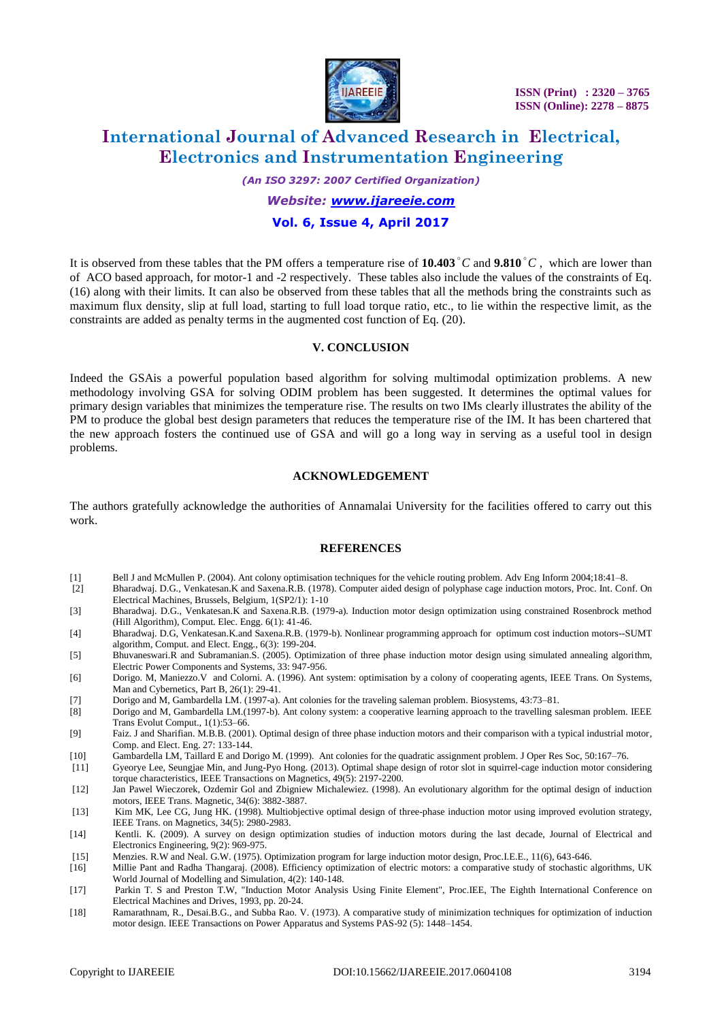

### **International Journal of Advanced Research in Electrical, Electronics and Instrumentation Engineering**

*(An ISO 3297: 2007 Certified Organization)*

#### *Website: [www.ijareeie.com](http://www.ijareeie.com/)*

#### **Vol. 6, Issue 4, April 2017**

It is observed from these tables that the PM offers a temperature rise of  $10.403\degree C$  and  $9.810\degree C$ , which are lower than of ACO based approach, for motor-1 and -2 respectively. These tables also include the values of the constraints of Eq. (16) along with their limits. It can also be observed from these tables that all the methods bring the constraints such as maximum flux density, slip at full load, starting to full load torque ratio, etc., to lie within the respective limit, as the constraints are added as penalty terms in the augmented cost function of Eq. (20).

#### **V. CONCLUSION**

Indeed the GSAis a powerful population based algorithm for solving multimodal optimization problems. A new methodology involving GSA for solving ODIM problem has been suggested. It determines the optimal values for primary design variables that minimizes the temperature rise. The results on two IMs clearly illustrates the ability of the PM to produce the global best design parameters that reduces the temperature rise of the IM. It has been chartered that the new approach fosters the continued use of GSA and will go a long way in serving as a useful tool in design problems.

#### **ACKNOWLEDGEMENT**

The authors gratefully acknowledge the authorities of Annamalai University for the facilities offered to carry out this work.

#### **REFERENCES**

- [1] Bell J and McMullen P. (2004). Ant colony optimisation techniques for the vehicle routing problem. Adv Eng Inform 2004;18:41–8.<br>[2] Bharadwaj. D.G., Venkatesan.K and Saxena.R.B. (1978). Computer aided design of polypha
- [2] Bharadwaj. D.G., Venkatesan.K and Saxena.R.B. (1978). Computer aided design of polyphase cage induction motors, Proc. Int. Conf. On Electrical Machines, Brussels, Belgium, 1(SP2/1): 1-10
- [3] Bharadwaj. D.G., Venkatesan.K and Saxena.R.B. (1979-a). Induction motor design optimization using constrained Rosenbrock method (Hill Algorithm), Comput. Elec. Engg. 6(1): 41-46.
- [4] Bharadwaj. D.G, Venkatesan.K.and Saxena.R.B. (1979-b). Nonlinear programming approach for optimum cost induction motors--SUMT algorithm, Comput. and Elect. Engg., 6(3): 199-204.
- [5] Bhuvaneswari.R and Subramanian.S. (2005). Optimization of three phase induction motor design using simulated annealing algorithm, Electric Power Components and Systems, 33: 947-956.
- [6] Dorigo. M, Maniezzo.V and Colorni. A. (1996). Ant system: optimisation by a colony of cooperating agents, IEEE Trans. On Systems, Man and Cybernetics, Part B, 26(1): 29-41.
- [7] Dorigo and M, Gambardella LM. (1997-a). Ant colonies for the traveling saleman problem. Biosystems, 43:73–81.<br>[8] Dorigo and M, Gambardella LM. (1997-b). Ant colony system: a cooperative learning approach to the travel
- [8] Dorigo and M, Gambardella LM.(1997-b). Ant colony system: a cooperative learning approach to the travelling salesman problem. IEEE Trans Evolut Comput., 1(1):53–66.
- [9] Faiz. J and Sharifian. M.B.B. (2001). Optimal design of three phase induction motors and their comparison with a typical industrial motor, Comp. and Elect. Eng. 27: 133-144.
- [10] Gambardella LM, Taillard E and Dorigo M. (1999). Ant colonies for the quadratic assignment problem. J Oper Res Soc, 50:167–76.
- [11] Gyeorye Lee, Seungjae Min, and Jung-Pyo Hong. (2013). Optimal shape design of rotor slot in squirrel-cage induction motor considering torque characteristics, IEEE Transactions on Magnetics, 49(5): 2197-2200.
- [12] Jan Pawel Wieczorek, Ozdemir Gol and Zbigniew Michalewiez. (1998). An evolutionary algorithm for the optimal design of induction motors, IEEE Trans. Magnetic, 34(6): 3882-3887.
- [13] Kim MK, Lee CG, Jung HK. (1998). Multiobjective optimal design of three-phase induction motor using improved evolution strategy, IEEE Trans. on Magnetics, 34(5): 2980-2983.
- [14] Kentli. K. (2009). A survey on design optimization studies of induction motors during the last decade, Journal of Electrical and Electronics Engineering, 9(2): 969-975.
- [15] Menzies. R.W and Neal. G.W. (1975). Optimization program for large induction motor design, Proc.I.E.E., 11(6), 643-646.
- [16] Millie Pant and Radha Thangaraj. (2008). Efficiency optimization of electric motors: a comparative study of stochastic algorithms, UK World Journal of Modelling and Simulation, 4(2): 140-148.
- [17] Parkin T. S and Preston T.W, "Induction Motor Analysis Using Finite Element", Proc.IEE, The Eighth International Conference on Electrical Machines and Drives, 1993, pp. 20-24.
- [18] Ramarathnam, R., Desai.B.G., and Subba Rao. V. (1973). A comparative study of minimization techniques for optimization of induction motor design. IEEE Transactions on Power Apparatus and Systems PAS-92 (5): 1448–1454.